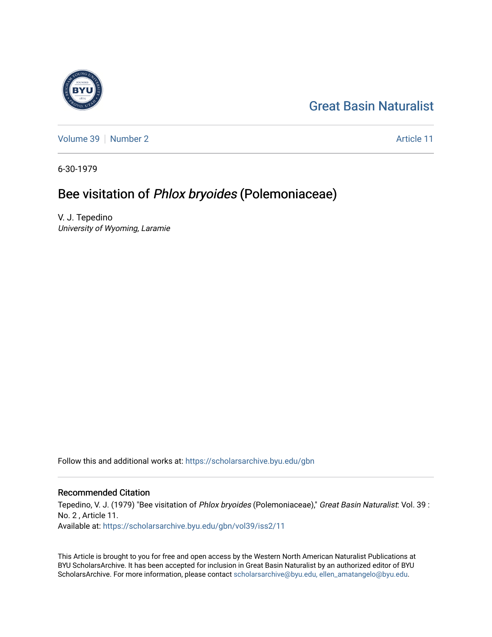## [Great Basin Naturalist](https://scholarsarchive.byu.edu/gbn)

[Volume 39](https://scholarsarchive.byu.edu/gbn/vol39) [Number 2](https://scholarsarchive.byu.edu/gbn/vol39/iss2) Article 11

6-30-1979

## Bee visitation of Phlox bryoides (Polemoniaceae)

V. J. Tepedino University of Wyoming, Laramie

Follow this and additional works at: [https://scholarsarchive.byu.edu/gbn](https://scholarsarchive.byu.edu/gbn?utm_source=scholarsarchive.byu.edu%2Fgbn%2Fvol39%2Fiss2%2F11&utm_medium=PDF&utm_campaign=PDFCoverPages) 

### Recommended Citation

Tepedino, V. J. (1979) "Bee visitation of Phlox bryoides (Polemoniaceae)," Great Basin Naturalist: Vol. 39 : No. 2 , Article 11. Available at: [https://scholarsarchive.byu.edu/gbn/vol39/iss2/11](https://scholarsarchive.byu.edu/gbn/vol39/iss2/11?utm_source=scholarsarchive.byu.edu%2Fgbn%2Fvol39%2Fiss2%2F11&utm_medium=PDF&utm_campaign=PDFCoverPages) 

This Article is brought to you for free and open access by the Western North American Naturalist Publications at BYU ScholarsArchive. It has been accepted for inclusion in Great Basin Naturalist by an authorized editor of BYU ScholarsArchive. For more information, please contact [scholarsarchive@byu.edu, ellen\\_amatangelo@byu.edu.](mailto:scholarsarchive@byu.edu,%20ellen_amatangelo@byu.edu)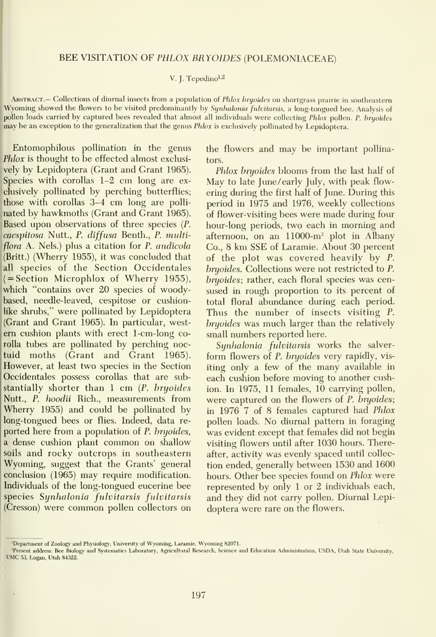#### BEE VISITATION OF PHLOX BRYOIDES (POLEMONIACEAE)

#### V. J. Tepedino $^{1,2}$

ABSTRACT.— Collections of diurnal insects from a population of Phlox bryoides on shortgrass prairie in southeastern Wyoming showed the flowers to be visited predominantly by Synhalonia fulvitarsis, a long-tongued bee. Analysis of pollen loads carried by captured bees revealed that almost all individuals were collecting Phlox pollen. P. bryoides may be an exception to the generalization that the genus Phlox isexclusively pollinated by Lepidoptera.

Entomophilous pollination in the genus Phlox is thought to be effected almost exclusively by Lepidoptera (Grant and Grant 1965). Species with corollas 1-2 cm long are ex clusively pollinated by perching butterflies; those with corollas 3-4 cm long are polli nated by hawkmoths (Grant and Grant 1965). Based upon observations of three species (P. caespitosa Nutt., P. diffusa Benth., P. multiflora A. Nels.) plus a citation for P. andicola (Britt.) (Wherry 1955), it was concluded that all species of the Section Occidentales  $( = Section$  Microphlox of Wherry 1955), which "contains over 20 species of woodybased, needle-leaved, cespitose or cushionlike shrubs," were pollinated by Lepidoptera (Grant and Grant 1965). In particular, west em cushion plants with erect <sup>1</sup> -cm-long corolla tubes are pollinated by perching noctuid moths (Grant and Grant 1965). However, at least two species in the Section Occidentales possess corollas that are substantially shorter than <sup>1</sup> cm (P. bryoides Nutt., P. hoodii Rich., measurements from Wherry 1955) and could be pollinated by long-tongued bees or flies. Indeed, data re ported here from a population of P. bryoides, <sup>a</sup> dense cushion plant common on shallow soils and rocky outcrops in southeastern Wyoming, suggest that the Grants' general conclusion (1965) may require modification. Individuals of the long-tongued eucerine bee species Synhalonia fulvitarsis fulvitarsis (Cresson) were common pollen collectors on the flowers and may be important pollinators.

Phlox bryoides blooms from the last half of May to late June/early July, with peak flowering during the first half of June. During this period in 1975 and 1976, weekly collections of flower-visiting bees were made during four hour-long periods, two each in morning and afternoon, on an  $11000 \text{--} m^2$  plot in Albany Co., 8 km SSE of Laramie. About 30 percent of the plot was covered heavily by P. bryoides. Collections were not restricted to P. bryoides; rather, each floral species was cen sused in rough proportion to its percent of total floral abundance during each period. Thus the number of insects visiting P. bryoides was much larger than the relatively small numbers reported here.

Synhalonia fulvitarsis works the salver form flowers of P. bryoides very rapidly, vis iting only a few of the many available in each cushion before moving to another cushion. In 1975, 11 females, 10 carrying pollen, were captured on the flowers of P. bryoides; in 1976 7 of 8 females captured had Phlox pollen loads. No diurnal pattern in foraging was evident except that females did not begin visiting flowers until after 1030 hours. Thereafter, activity was evenly spaced until collec tion ended, generally between 1530 and 1600 hours. Other bee species found on Phlox were represented by only <sup>1</sup> or 2 individuals each, and they did not carry pollen. Diurnal Lepidoptera were rare on the flowers.

<sup>&#</sup>x27;Department of Zoology and Physiology, University of Wyoming, Laramie, Wyoming <sup>S</sup>

<sup>&#</sup>x27;Present address: Bee Biology and Systematics Laboratory, Agricultural Research, Science and Education Administration, USDA, Utah State University,<br>UMC 53, Logan, Utah 84322.